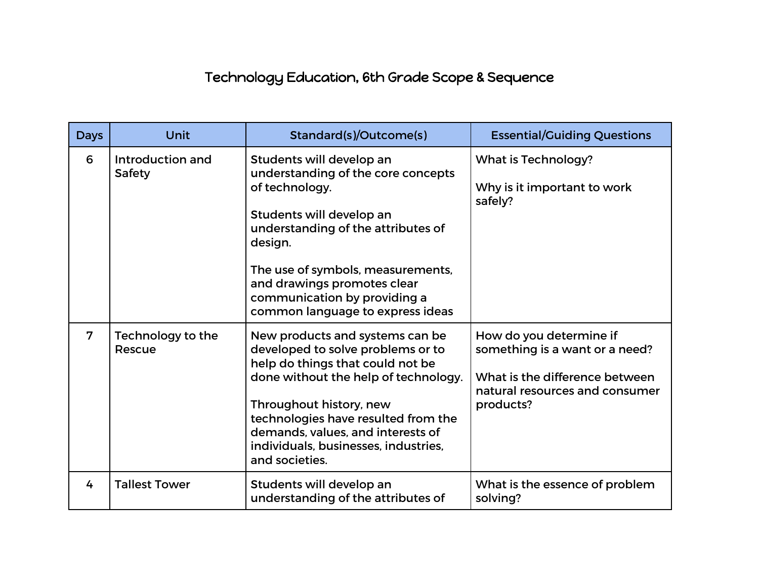## Technology Education, 6th Grade Scope & Sequence

| <b>Days</b>    | Unit                               | Standard(s)/Outcome(s)                                                                                                                                                                                                                                                                                            | <b>Essential/Guiding Questions</b>                                                                                                         |
|----------------|------------------------------------|-------------------------------------------------------------------------------------------------------------------------------------------------------------------------------------------------------------------------------------------------------------------------------------------------------------------|--------------------------------------------------------------------------------------------------------------------------------------------|
| 6              | Introduction and<br><b>Safety</b>  | Students will develop an<br>understanding of the core concepts<br>of technology.<br>Students will develop an<br>understanding of the attributes of<br>design.<br>The use of symbols, measurements,<br>and drawings promotes clear<br>communication by providing a<br>common language to express ideas             | <b>What is Technology?</b><br>Why is it important to work<br>safely?                                                                       |
| $\overline{7}$ | <b>Technology to the</b><br>Rescue | New products and systems can be<br>developed to solve problems or to<br>help do things that could not be<br>done without the help of technology.<br>Throughout history, new<br>technologies have resulted from the<br>demands, values, and interests of<br>individuals, businesses, industries,<br>and societies. | How do you determine if<br>something is a want or a need?<br>What is the difference between<br>natural resources and consumer<br>products? |
| 4              | <b>Tallest Tower</b>               | Students will develop an<br>understanding of the attributes of                                                                                                                                                                                                                                                    | What is the essence of problem<br>solving?                                                                                                 |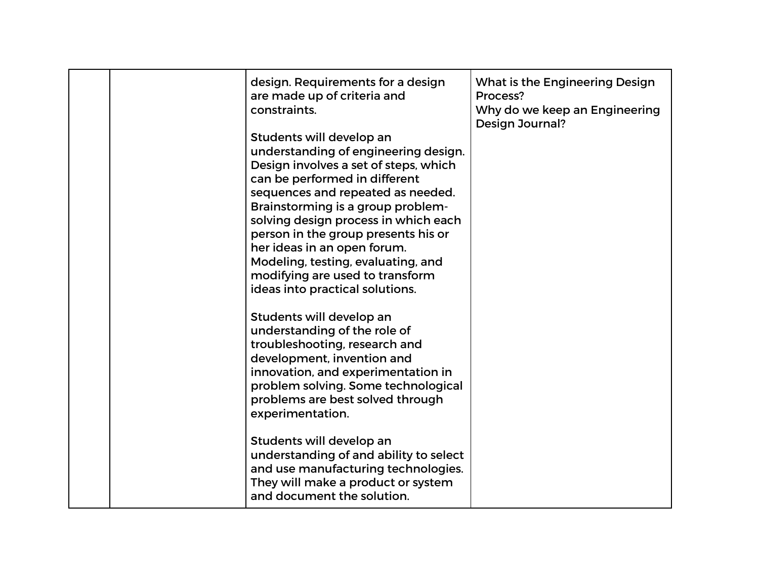|  | design. Requirements for a design<br>are made up of criteria and<br>constraints.<br>Students will develop an<br>understanding of engineering design.<br>Design involves a set of steps, which<br>can be performed in different<br>sequences and repeated as needed.<br>Brainstorming is a group problem-<br>solving design process in which each<br>person in the group presents his or<br>her ideas in an open forum.<br>Modeling, testing, evaluating, and<br>modifying are used to transform<br>ideas into practical solutions. | What is the Engineering Design<br>Process?<br>Why do we keep an Engineering<br><b>Design Journal?</b> |
|--|------------------------------------------------------------------------------------------------------------------------------------------------------------------------------------------------------------------------------------------------------------------------------------------------------------------------------------------------------------------------------------------------------------------------------------------------------------------------------------------------------------------------------------|-------------------------------------------------------------------------------------------------------|
|  | Students will develop an<br>understanding of the role of<br>troubleshooting, research and<br>development, invention and<br>innovation, and experimentation in<br>problem solving. Some technological<br>problems are best solved through<br>experimentation.<br>Students will develop an<br>understanding of and ability to select<br>and use manufacturing technologies.<br>They will make a product or system<br>and document the solution.                                                                                      |                                                                                                       |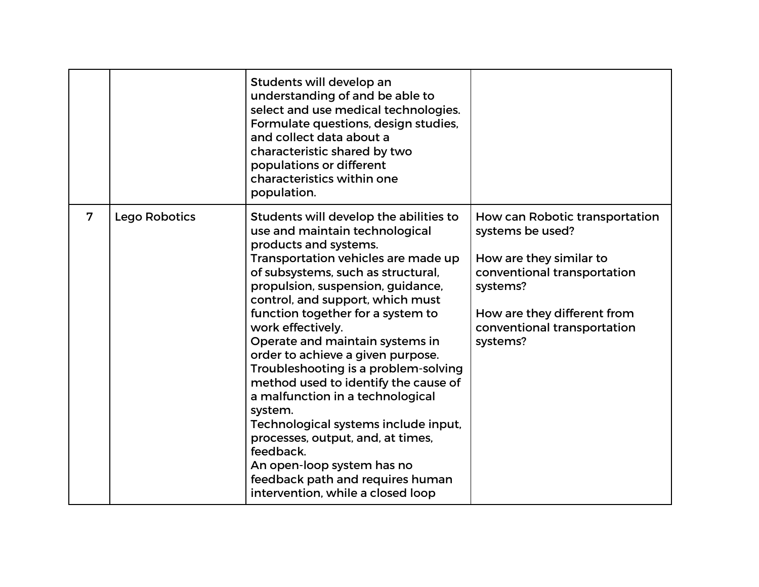|   |               | Students will develop an<br>understanding of and be able to<br>select and use medical technologies.<br>Formulate questions, design studies,<br>and collect data about a<br>characteristic shared by two<br>populations or different<br>characteristics within one<br>population.                                                                                                                                                                                                                                                                                                                                                                                                                                          |                                                                                                                                                                                                    |
|---|---------------|---------------------------------------------------------------------------------------------------------------------------------------------------------------------------------------------------------------------------------------------------------------------------------------------------------------------------------------------------------------------------------------------------------------------------------------------------------------------------------------------------------------------------------------------------------------------------------------------------------------------------------------------------------------------------------------------------------------------------|----------------------------------------------------------------------------------------------------------------------------------------------------------------------------------------------------|
| 7 | Lego Robotics | Students will develop the abilities to<br>use and maintain technological<br>products and systems.<br>Transportation vehicles are made up<br>of subsystems, such as structural,<br>propulsion, suspension, guidance,<br>control, and support, which must<br>function together for a system to<br>work effectively.<br>Operate and maintain systems in<br>order to achieve a given purpose.<br>Troubleshooting is a problem-solving<br>method used to identify the cause of<br>a malfunction in a technological<br>system.<br>Technological systems include input,<br>processes, output, and, at times,<br>feedback.<br>An open-loop system has no<br>feedback path and requires human<br>intervention, while a closed loop | How can Robotic transportation<br>systems be used?<br>How are they similar to<br>conventional transportation<br>systems?<br>How are they different from<br>conventional transportation<br>systems? |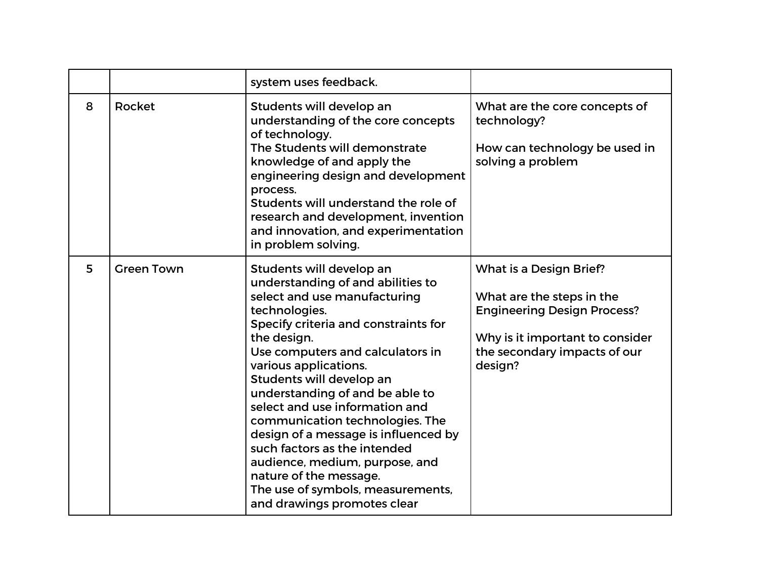|   |                   | system uses feedback.                                                                                                                                                                                                                                                                                                                                                                                                                                                                                                                                                          |                                                                                                                                                                          |
|---|-------------------|--------------------------------------------------------------------------------------------------------------------------------------------------------------------------------------------------------------------------------------------------------------------------------------------------------------------------------------------------------------------------------------------------------------------------------------------------------------------------------------------------------------------------------------------------------------------------------|--------------------------------------------------------------------------------------------------------------------------------------------------------------------------|
| 8 | <b>Rocket</b>     | Students will develop an<br>understanding of the core concepts<br>of technology.<br>The Students will demonstrate<br>knowledge of and apply the<br>engineering design and development<br>process.<br>Students will understand the role of<br>research and development, invention<br>and innovation, and experimentation<br>in problem solving.                                                                                                                                                                                                                                 | What are the core concepts of<br>technology?<br>How can technology be used in<br>solving a problem                                                                       |
| 5 | <b>Green Town</b> | Students will develop an<br>understanding of and abilities to<br>select and use manufacturing<br>technologies.<br>Specify criteria and constraints for<br>the design.<br>Use computers and calculators in<br>various applications.<br>Students will develop an<br>understanding of and be able to<br>select and use information and<br>communication technologies. The<br>design of a message is influenced by<br>such factors as the intended<br>audience, medium, purpose, and<br>nature of the message.<br>The use of symbols, measurements,<br>and drawings promotes clear | What is a Design Brief?<br>What are the steps in the<br><b>Engineering Design Process?</b><br>Why is it important to consider<br>the secondary impacts of our<br>design? |